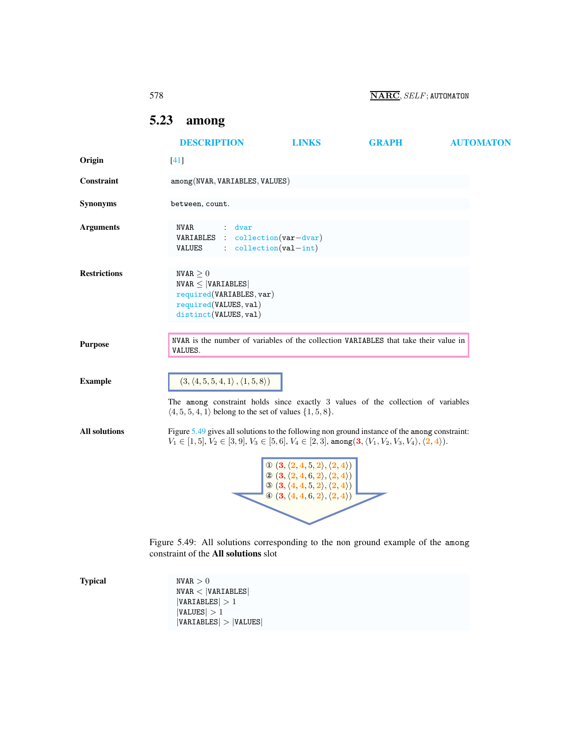| 578 | $\overline{\textbf{NARC}}$ , $SELF$ : AUTOMATON |
|-----|-------------------------------------------------|
|-----|-------------------------------------------------|

## <span id="page-0-2"></span><span id="page-0-0"></span>5.23 among

|                      | <b>DESCRIPTION</b>                                                                                                                                                                                                                        | <b>LINKS</b>                                                                                                                                                                                                                                                                                                          | <b>GRAPH</b> | <b>AUTOMATON</b> |
|----------------------|-------------------------------------------------------------------------------------------------------------------------------------------------------------------------------------------------------------------------------------------|-----------------------------------------------------------------------------------------------------------------------------------------------------------------------------------------------------------------------------------------------------------------------------------------------------------------------|--------------|------------------|
| Origin               | $[41]$                                                                                                                                                                                                                                    |                                                                                                                                                                                                                                                                                                                       |              |                  |
| Constraint           | among(NVAR, VARIABLES, VALUES)                                                                                                                                                                                                            |                                                                                                                                                                                                                                                                                                                       |              |                  |
| <b>Synonyms</b>      | between, count.                                                                                                                                                                                                                           |                                                                                                                                                                                                                                                                                                                       |              |                  |
| <b>Arguments</b>     | <b>NVAR</b><br>dvar<br>VARIABLES<br>$\cdot$ :<br>VALUES                                                                                                                                                                                   | $\text{collection}(var-dvar)$<br>$: collection(val-int)$                                                                                                                                                                                                                                                              |              |                  |
| <b>Restrictions</b>  | NVAR $\geq 0$<br>$NVAR \leq  VARIABLES $<br>required(VARIABLES, var)<br>required(VALUES, val)<br>distinct(VALUES, val)                                                                                                                    |                                                                                                                                                                                                                                                                                                                       |              |                  |
| <b>Purpose</b>       | NVAR is the number of variables of the collection VARIABLES that take their value in<br>VALUES.                                                                                                                                           |                                                                                                                                                                                                                                                                                                                       |              |                  |
| <b>Example</b>       | $(3, \langle 4, 5, 5, 4, 1 \rangle, \langle 1, 5, 8 \rangle)$<br>The among constraint holds since exactly 3 values of the collection of variables<br>$\langle 4, 5, 5, 4, 1 \rangle$ belong to the set of values $\{1, 5, 8\}.$           |                                                                                                                                                                                                                                                                                                                       |              |                  |
| <b>All solutions</b> | Figure 5.49 gives all solutions to the following non ground instance of the among constraint:<br>$V_1 \in [1, 5], V_2 \in [3, 9], V_3 \in [5, 6], V_4 \in [2, 3],$ among $(3, \langle V_1, V_2, V_3, V_4 \rangle, \langle 2, 4 \rangle).$ | $\begin{array}{c} \mathbb{O}\left(3,\langle 2,4,5,2 \rangle,\langle 2,4 \rangle\right) \\ \mathbb{O}\left(3,\langle 2,4,6,2 \rangle,\langle 2,4 \rangle\right) \\ \mathbb{O}\left(3,\langle 4,4,5,2 \rangle,\langle 2,4 \rangle\right) \end{array}$<br>$\Phi$ $(3, \langle 4, 4, 6, 2 \rangle, \langle 2, 4 \rangle)$ |              |                  |
|                      | Figure 5.49: All solutions corresponding to the non ground example of the among<br>constraint of the All solutions slot                                                                                                                   |                                                                                                                                                                                                                                                                                                                       |              |                  |

<span id="page-0-1"></span>**Typical**  $NVAR > 0$  $NVAR < |VARIABLES|$  $|VARIABLES| > 1$  $|VALUES| > 1$  $|VARIABLES| > |VALUES|$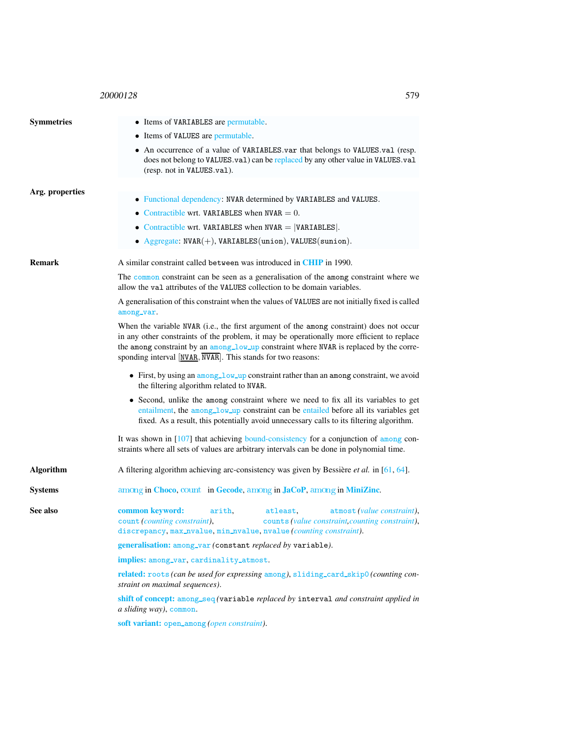## <sup>20000128</sup> 579

<span id="page-1-0"></span>

| <b>Symmetries</b> | • Items of VARIABLES are permutable.                                                                                                                                                                                                                                                                                                                                                                                                                                                               |  |  |  |
|-------------------|----------------------------------------------------------------------------------------------------------------------------------------------------------------------------------------------------------------------------------------------------------------------------------------------------------------------------------------------------------------------------------------------------------------------------------------------------------------------------------------------------|--|--|--|
|                   | • Items of VALUES are permutable.                                                                                                                                                                                                                                                                                                                                                                                                                                                                  |  |  |  |
|                   | • An occurrence of a value of VARIABLES.var that belongs to VALUES.val (resp.<br>does not belong to VALUES.val) can be replaced by any other value in VALUES.val<br>(resp. not in VALUES.val).                                                                                                                                                                                                                                                                                                     |  |  |  |
| Arg. properties   |                                                                                                                                                                                                                                                                                                                                                                                                                                                                                                    |  |  |  |
|                   | • Functional dependency: NVAR determined by VARIABLES and VALUES.                                                                                                                                                                                                                                                                                                                                                                                                                                  |  |  |  |
|                   | • Contractible wrt. VARIABLES when $NVAR = 0$ .                                                                                                                                                                                                                                                                                                                                                                                                                                                    |  |  |  |
|                   | • Contractible wrt. VARIABLES when $NVAR =  VARIABLES $ .                                                                                                                                                                                                                                                                                                                                                                                                                                          |  |  |  |
|                   | • Aggregate: $NVAR(+)$ , $VARIABLES(union)$ , $VALUES(union)$ .                                                                                                                                                                                                                                                                                                                                                                                                                                    |  |  |  |
| <b>Remark</b>     | A similar constraint called between was introduced in CHIP in 1990.                                                                                                                                                                                                                                                                                                                                                                                                                                |  |  |  |
|                   | The common constraint can be seen as a generalisation of the among constraint where we<br>allow the valiattributes of the VALUES collection to be domain variables.                                                                                                                                                                                                                                                                                                                                |  |  |  |
|                   | A generalisation of this constraint when the values of VALUES are not initially fixed is called<br>among_var.                                                                                                                                                                                                                                                                                                                                                                                      |  |  |  |
|                   | When the variable NVAR (i.e., the first argument of the among constraint) does not occur<br>in any other constraints of the problem, it may be operationally more efficient to replace<br>the among constraint by an among_low_up constraint where NVAR is replaced by the corre-<br>sponding interval [NVAR, NVAR]. This stands for two reasons:<br>• First, by using an $among_l_low_\text{up}$ constraint rather than an among constraint, we avoid<br>the filtering algorithm related to NVAR. |  |  |  |
|                   |                                                                                                                                                                                                                                                                                                                                                                                                                                                                                                    |  |  |  |
|                   | • Second, unlike the among constraint where we need to fix all its variables to get<br>entailment, the among_low_up constraint can be entailed before all its variables get<br>fixed. As a result, this potentially avoid unnecessary calls to its filtering algorithm.                                                                                                                                                                                                                            |  |  |  |
|                   | It was shown in $[107]$ that achieving bound-consistency for a conjunction of among con-<br>straints where all sets of values are arbitrary intervals can be done in polynomial time.                                                                                                                                                                                                                                                                                                              |  |  |  |
| Algorithm         | A filtering algorithm achieving arc-consistency was given by Bessière <i>et al.</i> in [61, 64].                                                                                                                                                                                                                                                                                                                                                                                                   |  |  |  |
| <b>Systems</b>    | among in Choco, count in Gecode, among in JaCoP, among in MiniZinc.                                                                                                                                                                                                                                                                                                                                                                                                                                |  |  |  |
| See also          | common keyword:<br>atmost (value constraint),<br>atleast,<br>arith,<br>count (counting constraint),<br>counts (value constraint, counting constraint),<br>discrepancy, max_nvalue, min_nvalue, nvalue (counting constraint).                                                                                                                                                                                                                                                                       |  |  |  |
|                   | generalisation: among_var (constant replaced by variable).                                                                                                                                                                                                                                                                                                                                                                                                                                         |  |  |  |
|                   | implies: among_var, cardinality_atmost.                                                                                                                                                                                                                                                                                                                                                                                                                                                            |  |  |  |
|                   | related: roots (can be used for expressing among), sliding_card_skip0 (counting con-<br>straint on maximal sequences).                                                                                                                                                                                                                                                                                                                                                                             |  |  |  |
|                   | shift of concept: among_seq (variable replaced by interval and constraint applied in<br>a sliding way), common.                                                                                                                                                                                                                                                                                                                                                                                    |  |  |  |
|                   | soft variant: open_among (open constraint).                                                                                                                                                                                                                                                                                                                                                                                                                                                        |  |  |  |
|                   |                                                                                                                                                                                                                                                                                                                                                                                                                                                                                                    |  |  |  |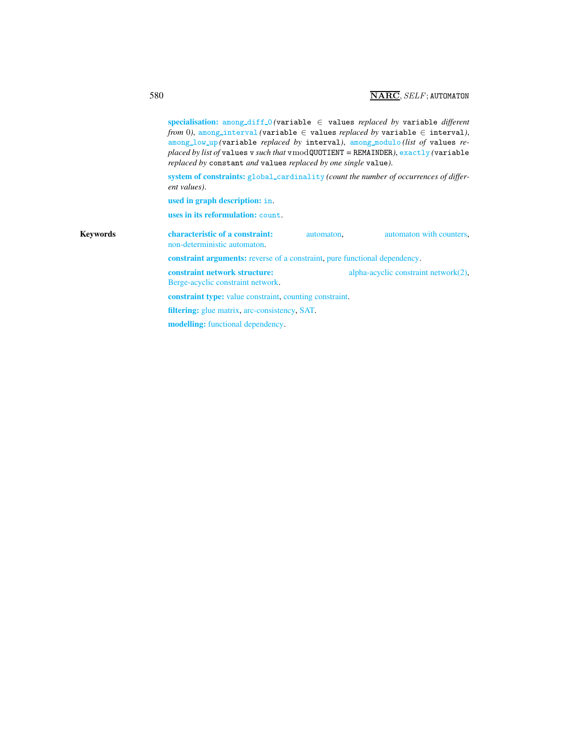|          | specialisation: among_diff_0(variable $\in$ values replaced by variable different<br>from 0), among_interval (variable $\in$ values replaced by variable $\in$ interval),<br>among_low_up (variable replaced by interval), among_modulo(list of values re-<br>placed by list of values v such that $v \mod QUOTIENT = REMAINDER$ ), exactly (variable<br>replaced by constant and values replaced by one single value). |            |                                      |
|----------|-------------------------------------------------------------------------------------------------------------------------------------------------------------------------------------------------------------------------------------------------------------------------------------------------------------------------------------------------------------------------------------------------------------------------|------------|--------------------------------------|
|          | system of constraints: global_cardinality (count the number of occurrences of differ-<br>ent values).                                                                                                                                                                                                                                                                                                                   |            |                                      |
|          | used in graph description: in.                                                                                                                                                                                                                                                                                                                                                                                          |            |                                      |
|          | uses in its reformulation: count.                                                                                                                                                                                                                                                                                                                                                                                       |            |                                      |
| Kevwords | characteristic of a constraint:<br>non-deterministic automaton.                                                                                                                                                                                                                                                                                                                                                         | automaton. | automaton with counters,             |
|          | <b>constraint arguments:</b> reverse of a constraint, pure functional dependency.                                                                                                                                                                                                                                                                                                                                       |            |                                      |
|          | constraint network structure:<br>Berge-acyclic constraint network.                                                                                                                                                                                                                                                                                                                                                      |            | alpha-acyclic constraint network(2), |
|          | <b>constraint type:</b> value constraint, counting constraint.                                                                                                                                                                                                                                                                                                                                                          |            |                                      |
|          | <b>filtering:</b> glue matrix, arc-consistency, SAT.                                                                                                                                                                                                                                                                                                                                                                    |            |                                      |
|          | <b>modelling:</b> functional dependency.                                                                                                                                                                                                                                                                                                                                                                                |            |                                      |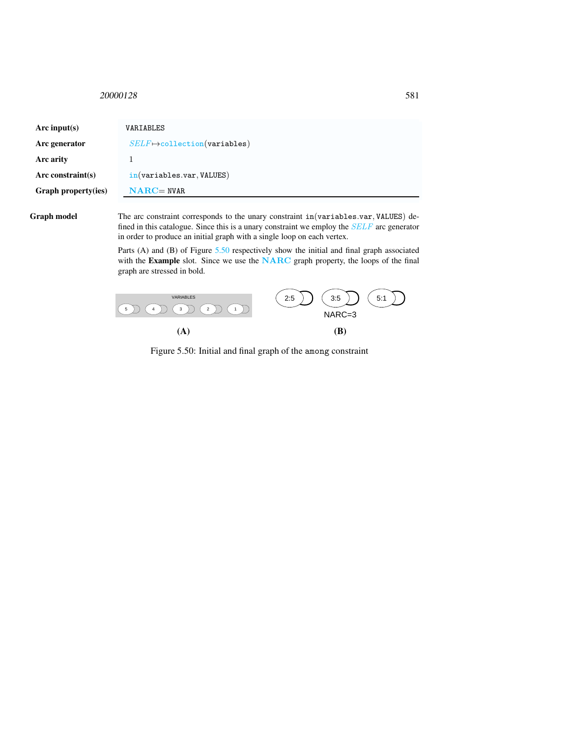## <span id="page-3-0"></span><sup>20000128</sup> 581

| Arc input(s)         | VARIABLES                            |
|----------------------|--------------------------------------|
| Arc generator        | $SELF \mapsto$ collection(variables) |
| Arc arity            |                                      |
| Arc constraint $(s)$ | in(variables.var, VALUES)            |
| Graph property(ies)  | $NARC = NVAR$                        |

Graph model The arc constraint corresponds to the unary constraint in(variables.var, VALUES) defined in this catalogue. Since this is a unary constraint we employ the  $SELF$  arc generator in order to produce an initial graph with a single loop on each vertex.

> Parts (A) and (B) of Figure [5.50](#page-3-1) respectively show the initial and final graph associated with the Example slot. Since we use the NARC graph property, the loops of the final graph are stressed in bold.



<span id="page-3-1"></span>Figure 5.50: Initial and final graph of the among constraint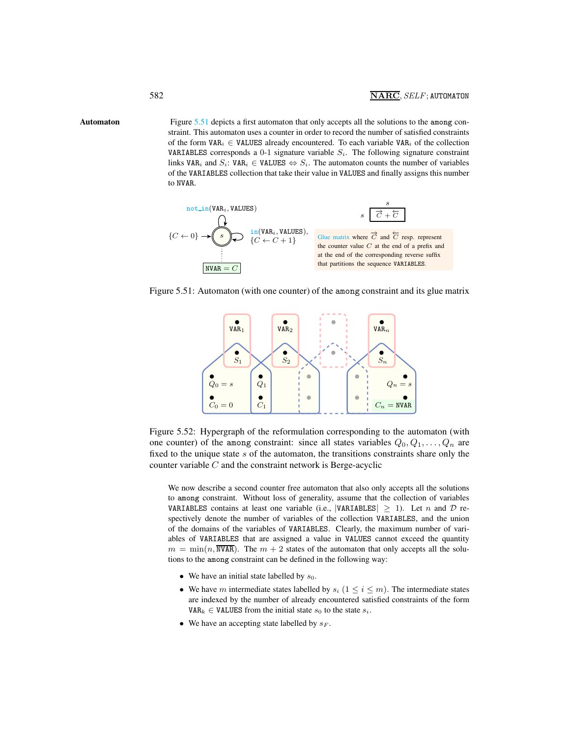Automaton Figure [5.51](#page-4-1) depicts a first automaton that only accepts all the solutions to the among constraint. This automaton uses a counter in order to record the number of satisfied constraints of the form VAR<sub>i</sub>  $\in$  VALUES already encountered. To each variable VAR<sub>i</sub> of the collection VARIABLES corresponds a 0-1 signature variable  $S_i$ . The following signature constraint links VAR<sub>i</sub> and  $S_i$ : VAR<sub>i</sub> ∈ VALUES  $\Leftrightarrow S_i$ . The automaton counts the number of variables of the VARIABLES collection that take their value in VALUES and finally assigns this number to NVAR.

<span id="page-4-0"></span>

Figure 5.51: Automaton (with one counter) of the among constraint and its glue matrix

<span id="page-4-1"></span>

Figure 5.52: Hypergraph of the reformulation corresponding to the automaton (with one counter) of the among constraint: since all states variables  $Q_0, Q_1, \ldots, Q_n$  are fixed to the unique state  $s$  of the automaton, the transitions constraints share only the counter variable  $C$  and the constraint network is Berge-acyclic

We now describe a second counter free automaton that also only accepts all the solutions to among constraint. Without loss of generality, assume that the collection of variables VARIABLES contains at least one variable (i.e., |VARIABLES|  $\geq$  1). Let *n* and *D* respectively denote the number of variables of the collection VARIABLES, and the union of the domains of the variables of VARIABLES. Clearly, the maximum number of variables of VARIABLES that are assigned a value in VALUES cannot exceed the quantity  $m = \min(n, \overline{\text{NVAR}})$ . The  $m + 2$  states of the automaton that only accepts all the solutions to the among constraint can be defined in the following way:

- We have an initial state labelled by  $s_0$ .
- We have m intermediate states labelled by  $s_i$  ( $1 \le i \le m$ ). The intermediate states are indexed by the number of already encountered satisfied constraints of the form VAR<sub>k</sub>  $\in$  VALUES from the initial state  $s_0$  to the state  $s_i$ .
- We have an accepting state labelled by  $s_F$ .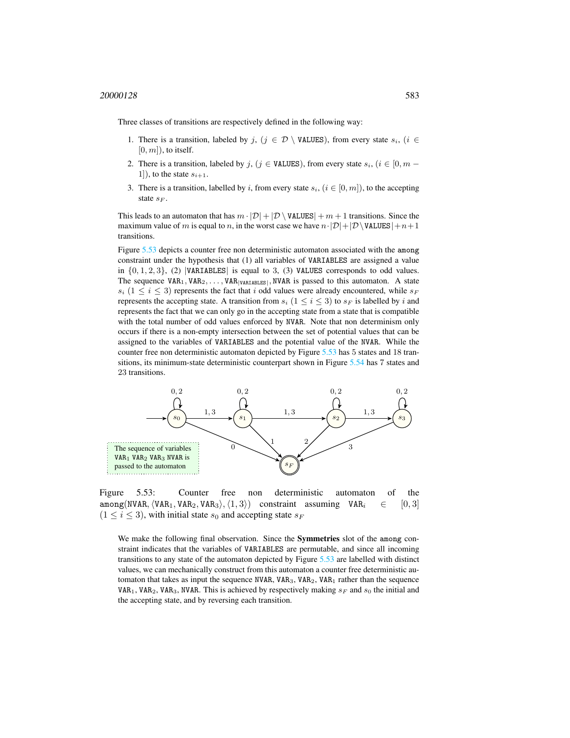Three classes of transitions are respectively defined in the following way:

- 1. There is a transition, labeled by j,  $(j \in \mathcal{D} \setminus \text{VALUES})$ , from every state  $s_i$ ,  $(i \in \mathcal{D} \setminus \text{VALUES})$  $[0, m]$ , to itself.
- 2. There is a transition, labeled by j, (j ∈ VALUES), from every state  $s_i$ , (i ∈ [0, m 1]), to the state  $s_{i+1}$ .
- 3. There is a transition, labelled by i, from every state  $s_i$ ,  $(i \in [0, m])$ , to the accepting state  $s_F$ .

This leads to an automaton that has  $m \cdot |\mathcal{D}| + |\mathcal{D} \setminus \text{VALUES}| + m + 1$  transitions. Since the maximum value of m is equal to n, in the worst case we have  $n \cdot |D| + |D \setminus \text{VALUES}| + n + 1$ transitions.

Figure [5.53](#page-5-0) depicts a counter free non deterministic automaton associated with the among constraint under the hypothesis that (1) all variables of VARIABLES are assigned a value in  $\{0, 1, 2, 3\}$ , (2) |VARIABLES| is equal to 3, (3) VALUES corresponds to odd values. The sequence  $VAR_1, VAR_2, \ldots, VAR_{|VARIABLES|}$ , NVAR is passed to this automaton. A state  $s_i$  ( $1 \leq i \leq 3$ ) represents the fact that i odd values were already encountered, while  $s_F$ represents the accepting state. A transition from  $s_i$  ( $1 \le i \le 3$ ) to  $s_F$  is labelled by i and represents the fact that we can only go in the accepting state from a state that is compatible with the total number of odd values enforced by NVAR. Note that non determinism only occurs if there is a non-empty intersection between the set of potential values that can be assigned to the variables of VARIABLES and the potential value of the NVAR. While the counter free non deterministic automaton depicted by Figure [5.53](#page-5-0) has 5 states and 18 transitions, its minimum-state deterministic counterpart shown in Figure [5.54](#page-6-0) has 7 states and 23 transitions.



Figure 5.53: Counter free non deterministic automaton of the among(NVAR,  $\langle \text{VAR}_1, \text{VAR}_2, \text{VAR}_3 \rangle$ ,  $\langle 1, 3 \rangle$ ) constraint assuming VAR<sub>i</sub>  $\in [0, 3]$  $(1 \le i \le 3)$ , with initial state  $s_0$  and accepting state  $s_F$ 

<span id="page-5-0"></span>We make the following final observation. Since the Symmetries slot of the among constraint indicates that the variables of VARIABLES are permutable, and since all incoming transitions to any state of the automaton depicted by Figure [5.53](#page-5-0) are labelled with distinct values, we can mechanically construct from this automaton a counter free deterministic automaton that takes as input the sequence NVAR, VAR<sub>3</sub>, VAR<sub>2</sub>, VAR<sub>1</sub> rather than the sequence VAR<sub>1</sub>, VAR<sub>2</sub>, VAR<sub>3</sub>, NVAR. This is achieved by respectively making  $s_F$  and  $s_0$  the initial and the accepting state, and by reversing each transition.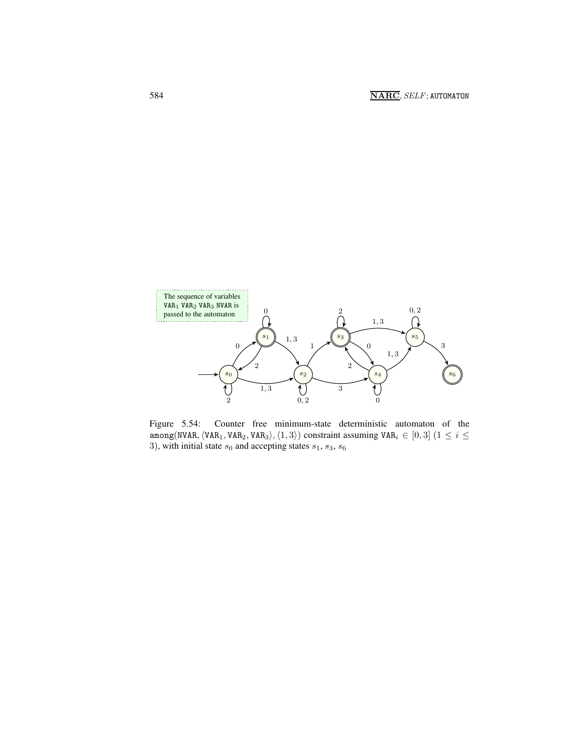

<span id="page-6-0"></span>Figure 5.54: Counter free minimum-state deterministic automaton of the among(NVAR,  $\langle \text{VAR}_1, \text{VAR}_2, \text{VAR}_3 \rangle, \langle 1, 3 \rangle$ ) constraint assuming VAR<sub>i</sub> ∈ [0, 3] (1 ≤ i ≤ 3), with initial state  $s_0$  and accepting states  $s_1$ ,  $s_3$ ,  $s_6$